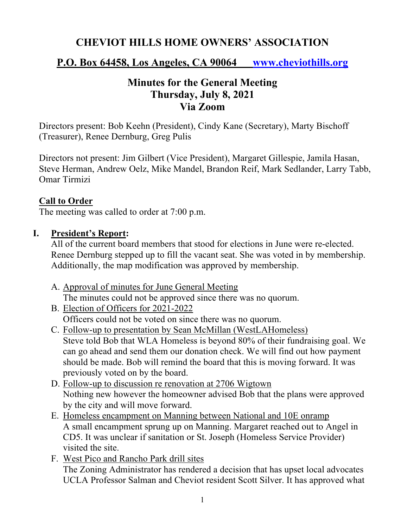# **CHEVIOT HILLS HOME OWNERS' ASSOCIATION**

### **P.O. Box 64458, Los Angeles, CA 90064 www.cheviothills.org**

## **Minutes for the General Meeting Thursday, July 8, 2021 Via Zoom**

Directors present: Bob Keehn (President), Cindy Kane (Secretary), Marty Bischoff (Treasurer), Renee Dernburg, Greg Pulis

Directors not present: Jim Gilbert (Vice President), Margaret Gillespie, Jamila Hasan, Steve Herman, Andrew Oelz, Mike Mandel, Brandon Reif, Mark Sedlander, Larry Tabb, Omar Tirmizi

#### **Call to Order**

The meeting was called to order at 7:00 p.m.

#### **I. President's Report:**

All of the current board members that stood for elections in June were re-elected. Renee Dernburg stepped up to fill the vacant seat. She was voted in by membership. Additionally, the map modification was approved by membership.

- A. Approval of minutes for June General Meeting The minutes could not be approved since there was no quorum.
- B. Election of Officers for 2021-2022 Officers could not be voted on since there was no quorum.
- C. Follow-up to presentation by Sean McMillan (WestLAHomeless) Steve told Bob that WLA Homeless is beyond 80% of their fundraising goal. We can go ahead and send them our donation check. We will find out how payment should be made. Bob will remind the board that this is moving forward. It was previously voted on by the board.
- D. Follow-up to discussion re renovation at 2706 Wigtown Nothing new however the homeowner advised Bob that the plans were approved by the city and will move forward.
- E. Homeless encampment on Manning between National and 10E onramp A small encampment sprung up on Manning. Margaret reached out to Angel in CD5. It was unclear if sanitation or St. Joseph (Homeless Service Provider) visited the site.
- F. West Pico and Rancho Park drill sites The Zoning Administrator has rendered a decision that has upset local advocates UCLA Professor Salman and Cheviot resident Scott Silver. It has approved what